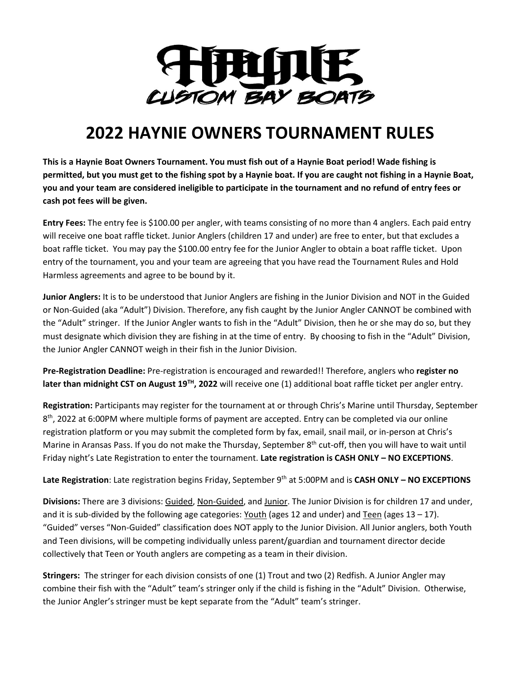

### **2022 HAYNIE OWNERS TOURNAMENT RULES**

**This is a Haynie Boat Owners Tournament. You must fish out of a Haynie Boat period! Wade fishing is permitted, but you must get to the fishing spot by a Haynie boat. If you are caught not fishing in a Haynie Boat, you and your team are considered ineligible to participate in the tournament and no refund of entry fees or cash pot fees will be given.** 

**Entry Fees:** The entry fee is \$100.00 per angler, with teams consisting of no more than 4 anglers. Each paid entry will receive one boat raffle ticket. Junior Anglers (children 17 and under) are free to enter, but that excludes a boat raffle ticket. You may pay the \$100.00 entry fee for the Junior Angler to obtain a boat raffle ticket. Upon entry of the tournament, you and your team are agreeing that you have read the Tournament Rules and Hold Harmless agreements and agree to be bound by it.

**Junior Anglers:** It is to be understood that Junior Anglers are fishing in the Junior Division and NOT in the Guided or Non-Guided (aka "Adult") Division. Therefore, any fish caught by the Junior Angler CANNOT be combined with the "Adult" stringer. If the Junior Angler wants to fish in the "Adult" Division, then he or she may do so, but they must designate which division they are fishing in at the time of entry. By choosing to fish in the "Adult" Division, the Junior Angler CANNOT weigh in their fish in the Junior Division.

**Pre-Registration Deadline:** Pre-registration is encouraged and rewarded!! Therefore, anglers who **register no later than midnight CST on August 19TH, 2022** will receive one (1) additional boat raffle ticket per angler entry.

**Registration:** Participants may register for the tournament at or through Chris's Marine until Thursday, September 8<sup>th</sup>, 2022 at 6:00PM where multiple forms of payment are accepted. Entry can be completed via our online registration platform or you may submit the completed form by fax, email, snail mail, or in-person at Chris's Marine in Aransas Pass. If you do not make the Thursday, September 8<sup>th</sup> cut-off, then you will have to wait until Friday night's Late Registration to enter the tournament. **Late registration is CASH ONLY – NO EXCEPTIONS**.

Late Registration: Late registration begins Friday, September 9<sup>th</sup> at 5:00PM and is CASH ONLY – NO EXCEPTIONS

**Divisions:** There are 3 divisions: Guided, Non-Guided, and Junior. The Junior Division is for children 17 and under, and it is sub-divided by the following age categories: Youth (ages 12 and under) and Teen (ages  $13 - 17$ ). "Guided" verses "Non-Guided" classification does NOT apply to the Junior Division. All Junior anglers, both Youth and Teen divisions, will be competing individually unless parent/guardian and tournament director decide collectively that Teen or Youth anglers are competing as a team in their division.

**Stringers:** The stringer for each division consists of one (1) Trout and two (2) Redfish. A Junior Angler may combine their fish with the "Adult" team's stringer only if the child is fishing in the "Adult" Division. Otherwise, the Junior Angler's stringer must be kept separate from the "Adult" team's stringer.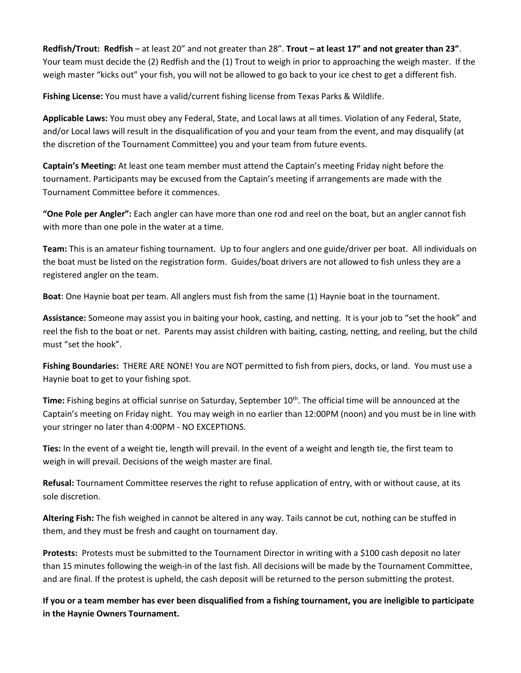**Redfish/Trout: Redfish** – at least 20" and not greater than 28". **Trout – at least 17" and not greater than 23"**. Your team must decide the (2) Redfish and the (1) Trout to weigh in prior to approaching the weigh master. If the weigh master "kicks out" your fish, you will not be allowed to go back to your ice chest to get a different fish.

**Fishing License:** You must have a valid/current fishing license from Texas Parks & Wildlife.

**Applicable Laws:** You must obey any Federal, State, and Local laws at all times. Violation of any Federal, State, and/or Local laws will result in the disqualification of you and your team from the event, and may disqualify (at the discretion of the Tournament Committee) you and your team from future events.

**Captain's Meeting:** At least one team member must attend the Captain's meeting Friday night before the tournament. Participants may be excused from the Captain's meeting if arrangements are made with the Tournament Committee before it commences.

**"One Pole per Angler":** Each angler can have more than one rod and reel on the boat, but an angler cannot fish with more than one pole in the water at a time.

**Team:** This is an amateur fishing tournament. Up to four anglers and one guide/driver per boat. All individuals on the boat must be listed on the registration form. Guides/boat drivers are not allowed to fish unless they are a registered angler on the team.

**Boat**: One Haynie boat per team. All anglers must fish from the same (1) Haynie boat in the tournament.

**Assistance:** Someone may assist you in baiting your hook, casting, and netting. It is your job to "set the hook" and reel the fish to the boat or net. Parents may assist children with baiting, casting, netting, and reeling, but the child must "set the hook".

**Fishing Boundaries:** THERE ARE NONE! You are NOT permitted to fish from piers, docks, or land. You must use a Haynie boat to get to your fishing spot.

Time: Fishing begins at official sunrise on Saturday, September 10<sup>th</sup>. The official time will be announced at the Captain's meeting on Friday night. You may weigh in no earlier than 12:00PM (noon) and you must be in line with your stringer no later than 4:00PM - NO EXCEPTIONS.

**Ties:** In the event of a weight tie, length will prevail. In the event of a weight and length tie, the first team to weigh in will prevail. Decisions of the weigh master are final.

**Refusal:** Tournament Committee reserves the right to refuse application of entry, with or without cause, at its sole discretion.

**Altering Fish:** The fish weighed in cannot be altered in any way. Tails cannot be cut, nothing can be stuffed in them, and they must be fresh and caught on tournament day.

**Protests:** Protests must be submitted to the Tournament Director in writing with a \$100 cash deposit no later than 15 minutes following the weigh-in of the last fish. All decisions will be made by the Tournament Committee, and are final. If the protest is upheld, the cash deposit will be returned to the person submitting the protest.

**If you or a team member has ever been disqualified from a fishing tournament, you are ineligible to participate in the Haynie Owners Tournament.**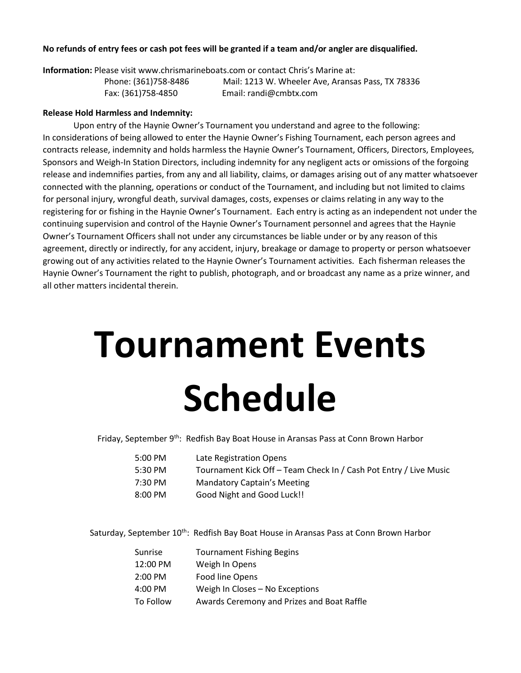#### **No refunds of entry fees or cash pot fees will be granted if a team and/or angler are disqualified.**

**Information:** Please visit www.chrismarineboats.com or contact Chris's Marine at:

 Phone: (361)758-8486 Mail: 1213 W. Wheeler Ave, Aransas Pass, TX 78336 Fax: (361)758-4850 Email: randi@cmbtx.com

#### **Release Hold Harmless and Indemnity:**

 Upon entry of the Haynie Owner's Tournament you understand and agree to the following: In considerations of being allowed to enter the Haynie Owner's Fishing Tournament, each person agrees and contracts release, indemnity and holds harmless the Haynie Owner's Tournament, Officers, Directors, Employees, Sponsors and Weigh-In Station Directors, including indemnity for any negligent acts or omissions of the forgoing release and indemnifies parties, from any and all liability, claims, or damages arising out of any matter whatsoever connected with the planning, operations or conduct of the Tournament, and including but not limited to claims for personal injury, wrongful death, survival damages, costs, expenses or claims relating in any way to the registering for or fishing in the Haynie Owner's Tournament. Each entry is acting as an independent not under the continuing supervision and control of the Haynie Owner's Tournament personnel and agrees that the Haynie Owner's Tournament Officers shall not under any circumstances be liable under or by any reason of this agreement, directly or indirectly, for any accident, injury, breakage or damage to property or person whatsoever growing out of any activities related to the Haynie Owner's Tournament activities. Each fisherman releases the Haynie Owner's Tournament the right to publish, photograph, and or broadcast any name as a prize winner, and all other matters incidental therein.

## **Tournament Events Schedule**

Friday, September 9<sup>th</sup>: Redfish Bay Boat House in Aransas Pass at Conn Brown Harbor

| 5:00 PM | Late Registration Opens                                           |
|---------|-------------------------------------------------------------------|
| 5:30 PM | Tournament Kick Off - Team Check In / Cash Pot Entry / Live Music |
| 7:30 PM | <b>Mandatory Captain's Meeting</b>                                |
| 8:00 PM | Good Night and Good Luck!!                                        |

Saturday, September 10<sup>th</sup>: Redfish Bay Boat House in Aransas Pass at Conn Brown Harbor

| Sunrise   | <b>Tournament Fishing Begins</b>           |
|-----------|--------------------------------------------|
| 12:00 PM  | Weigh In Opens                             |
| $2:00$ PM | Food line Opens                            |
| 4:00 PM   | Weigh In Closes - No Exceptions            |
| To Follow | Awards Ceremony and Prizes and Boat Raffle |